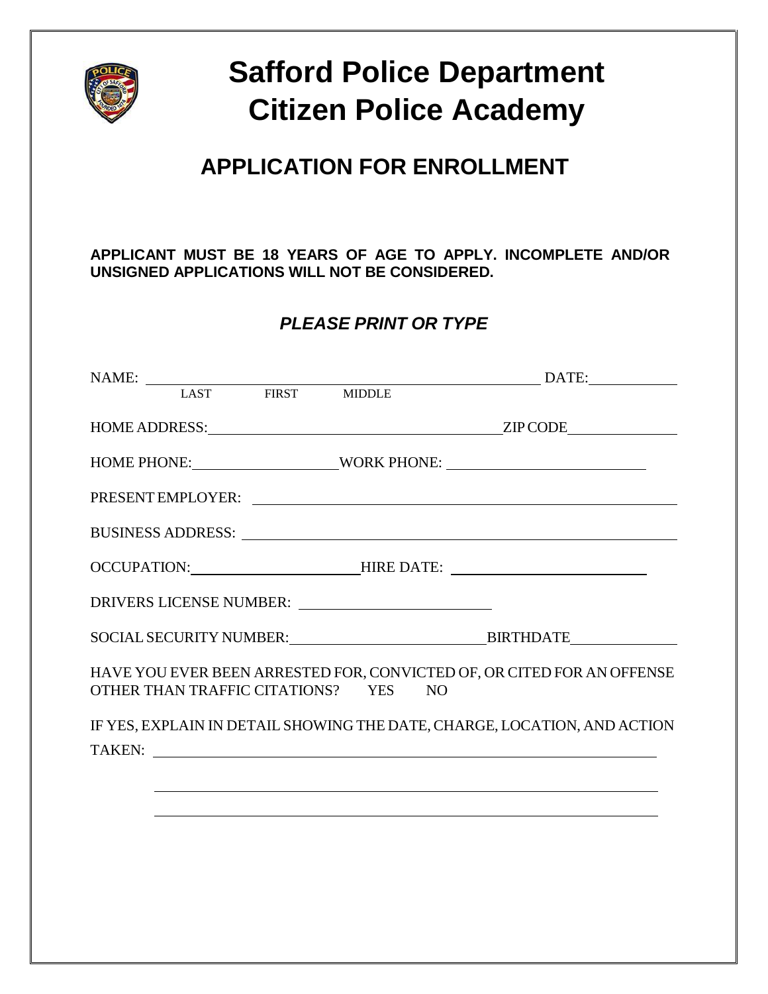

# **Safford Police Department Citizen Police Academy**

## **APPLICATION FOR ENROLLMENT**

**APPLICANT MUST BE 18 YEARS OF AGE TO APPLY. INCOMPLETE AND/OR UNSIGNED APPLICATIONS WILL NOT BE CONSIDERED.**

### *PLEASE PRINT OR TYPE*

|                                                                                  |  |  |                                      | HOME PHONE: WORK PHONE:                                                                                                                                                                                                        |  |
|----------------------------------------------------------------------------------|--|--|--------------------------------------|--------------------------------------------------------------------------------------------------------------------------------------------------------------------------------------------------------------------------------|--|
|                                                                                  |  |  |                                      | PRESENT EMPLOYER:                                                                                                                                                                                                              |  |
|                                                                                  |  |  |                                      | BUSINESS ADDRESS: New York Contract the Second State of the Second State of the Second State of the Second State of the Second State of the Second State of the Second State of the Second State of the Second State of the Se |  |
| OCCUPATION: _______________________HIRE DATE: __________________________________ |  |  |                                      |                                                                                                                                                                                                                                |  |
|                                                                                  |  |  |                                      |                                                                                                                                                                                                                                |  |
|                                                                                  |  |  |                                      |                                                                                                                                                                                                                                |  |
|                                                                                  |  |  | OTHER THAN TRAFFIC CITATIONS? YES NO | HAVE YOU EVER BEEN ARRESTED FOR, CONVICTED OF, OR CITED FOR AN OFFENSE                                                                                                                                                         |  |
|                                                                                  |  |  |                                      | IF YES, EXPLAIN IN DETAIL SHOWING THE DATE, CHARGE, LOCATION, AND ACTION                                                                                                                                                       |  |
|                                                                                  |  |  |                                      | TAKEN:                                                                                                                                                                                                                         |  |
|                                                                                  |  |  |                                      |                                                                                                                                                                                                                                |  |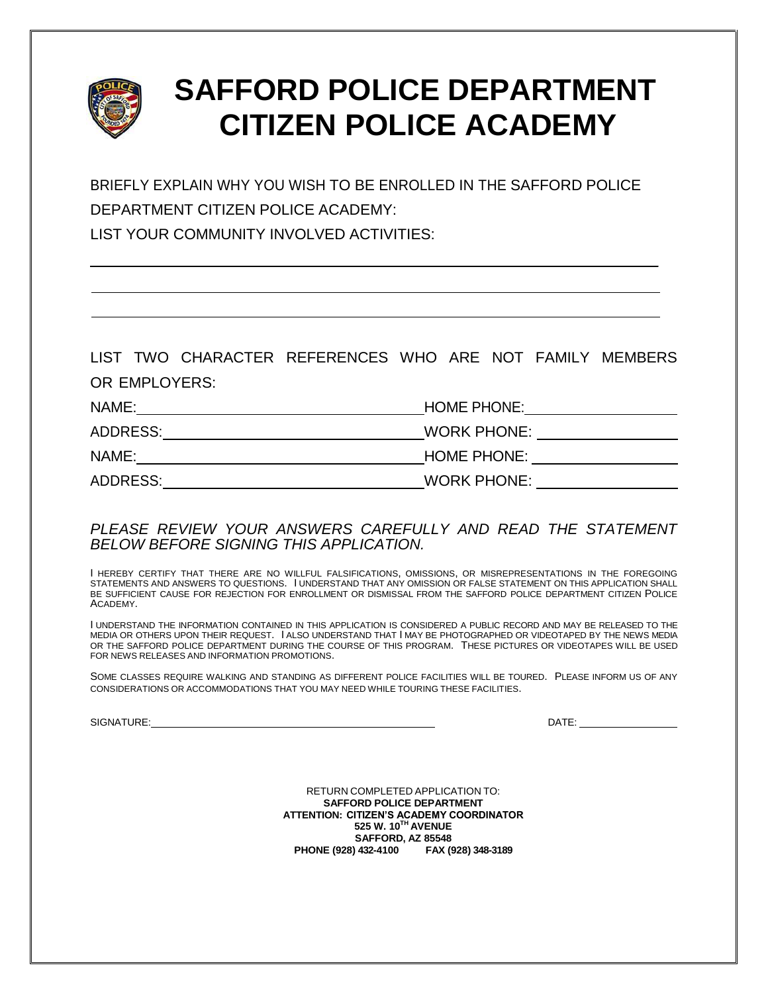

BRIEFLY EXPLAIN WHY YOU WISH TO BE ENROLLED IN THE SAFFORD POLICE DEPARTMENT CITIZEN POLICE ACADEMY:

LIST YOUR COMMUNITY INVOLVED ACTIVITIES:

LIST TWO CHARACTER REFERENCES WHO ARE NOT FAMILY MEMBERS OR EMPLOYERS:

| NAME:    | <b>HOME PHONE:</b> |
|----------|--------------------|
| ADDRESS: | <b>WORK PHONE:</b> |
| NAME:    | <b>HOME PHONE:</b> |
| ADDRESS: | <b>WORK PHONE:</b> |

#### *PLEASE REVIEW YOUR ANSWERS CAREFULLY AND READ THE STATEMENT BELOW BEFORE SIGNING THIS APPLICATION.*

I HEREBY CERTIFY THAT THERE ARE NO WILLFUL FALSIFICATIONS, OMISSIONS, OR MISREPRESENTATIONS IN THE FOREGOING STATEMENTS AND ANSWERS TO QUESTIONS. I UNDERSTAND THAT ANY OMISSION OR FALSE STATEMENT ON THIS APPLICATION SHALL BE SUFFICIENT CAUSE FOR REJECTION FOR ENROLLMENT OR DISMISSAL FROM THE SAFFORD POLICE DEPARTMENT CITIZEN POLICE ACADEMY.

I UNDERSTAND THE INFORMATION CONTAINED IN THIS APPLICATION IS CONSIDERED A PUBLIC RECORD AND MAY BE RELEASED TO THE MEDIA OR OTHERS UPON THEIR REQUEST. I ALSO UNDERSTAND THAT I MAY BE PHOTOGRAPHED OR VIDEOTAPED BY THE NEWS MEDIA OR THE SAFFORD POLICE DEPARTMENT DURING THE COURSE OF THIS PROGRAM. THESE PICTURES OR VIDEOTAPES WILL BE USED FOR NEWS RELEASES AND INFORMATION PROMOTIONS.

SOME CLASSES REQUIRE WALKING AND STANDING AS DIFFERENT POLICE FACILITIES WILL BE TOURED. PLEASE INFORM US OF ANY CONSIDERATIONS OR ACCOMMODATIONS THAT YOU MAY NEED WHILE TOURING THESE FACILITIES.

SIGNATURE: DATE:

\_

RETURN COMPLETED APPLICATION TO: **SAFFORD POLICE DEPARTMENT ATTENTION: CITIZEN'S ACADEMY COORDINATOR 525 W. 10TH AVENUE SAFFORD, AZ 85548 PHONE (928) 432-4100 FAX (928) 348-3189**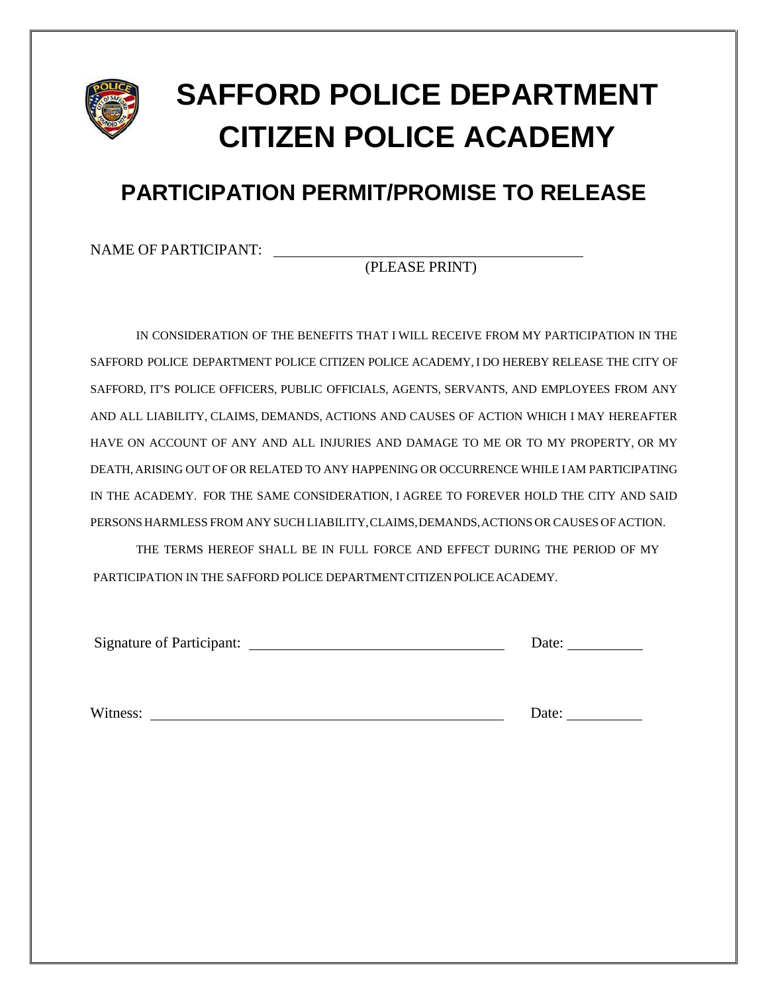

## **PARTICIPATION PERMIT/PROMISE TO RELEASE**

NAME OF PARTICIPANT:

(PLEASE PRINT)

IN CONSIDERATION OF THE BENEFITS THAT I WILL RECEIVE FROM MY PARTICIPATION IN THE SAFFORD POLICE DEPARTMENT POLICE CITIZEN POLICE ACADEMY, I DO HEREBY RELEASE THE CITY OF SAFFORD, IT'S POLICE OFFICERS, PUBLIC OFFICIALS, AGENTS, SERVANTS, AND EMPLOYEES FROM ANY AND ALL LIABILITY, CLAIMS, DEMANDS, ACTIONS AND CAUSES OF ACTION WHICH I MAY HEREAFTER HAVE ON ACCOUNT OF ANY AND ALL INJURIES AND DAMAGE TO ME OR TO MY PROPERTY, OR MY DEATH, ARISING OUT OF OR RELATED TO ANY HAPPENING OR OCCURRENCE WHILE IAM PARTICIPATING IN THE ACADEMY. FOR THE SAME CONSIDERATION, I AGREE TO FOREVER HOLD THE CITY AND SAID PERSONS HARMLESS FROM ANY SUCH LIABILITY,CLAIMS,DEMANDS,ACTIONS OR CAUSES OFACTION.

THE TERMS HEREOF SHALL BE IN FULL FORCE AND EFFECT DURING THE PERIOD OF MY PARTICIPATION IN THE SAFFORD POLICE DEPARTMENT CITIZEN POLICE ACADEMY.

Signature of Participant: Date:

Witness: Date: Date: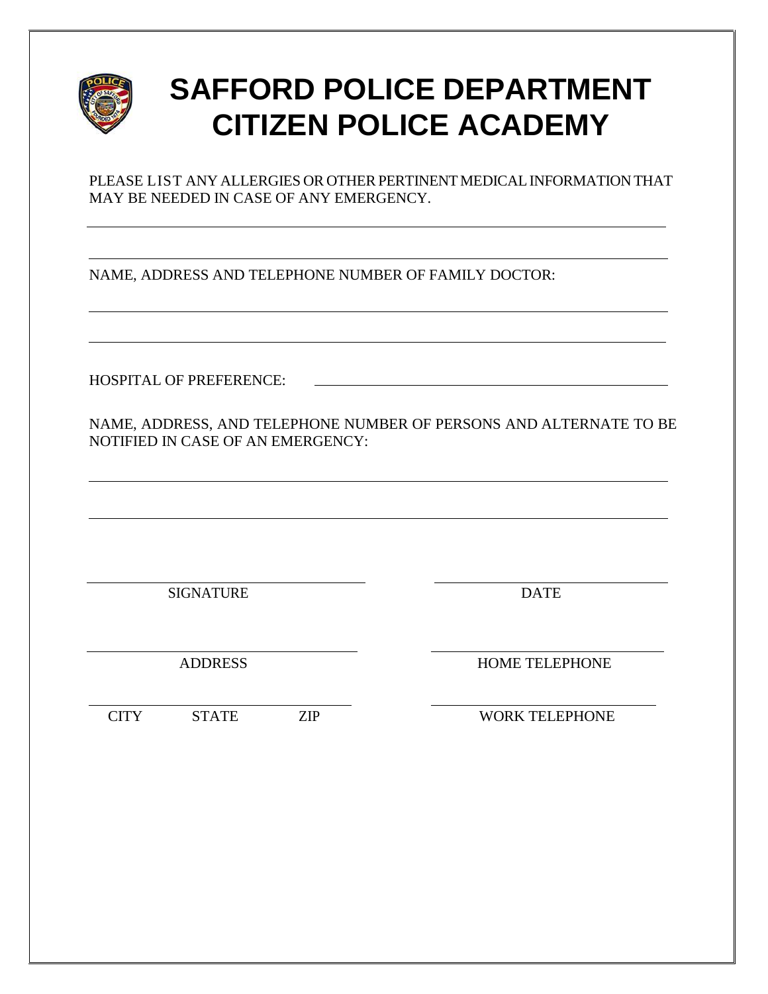

PLEASE LIST ANY ALLERGIES OR OTHER PERTINENT MEDICAL INFORMATION THAT MAY BE NEEDED IN CASE OF ANY EMERGENCY.

NAME, ADDRESS AND TELEPHONE NUMBER OF FAMILY DOCTOR:

HOSPITAL OF PREFERENCE:

NAME, ADDRESS, AND TELEPHONE NUMBER OF PERSONS AND ALTERNATE TO BE NOTIFIED IN CASE OF AN EMERGENCY:

SIGNATURE DATE

ADDRESS HOME TELEPHONE

CITY STATE ZIP WORK TELEPHONE